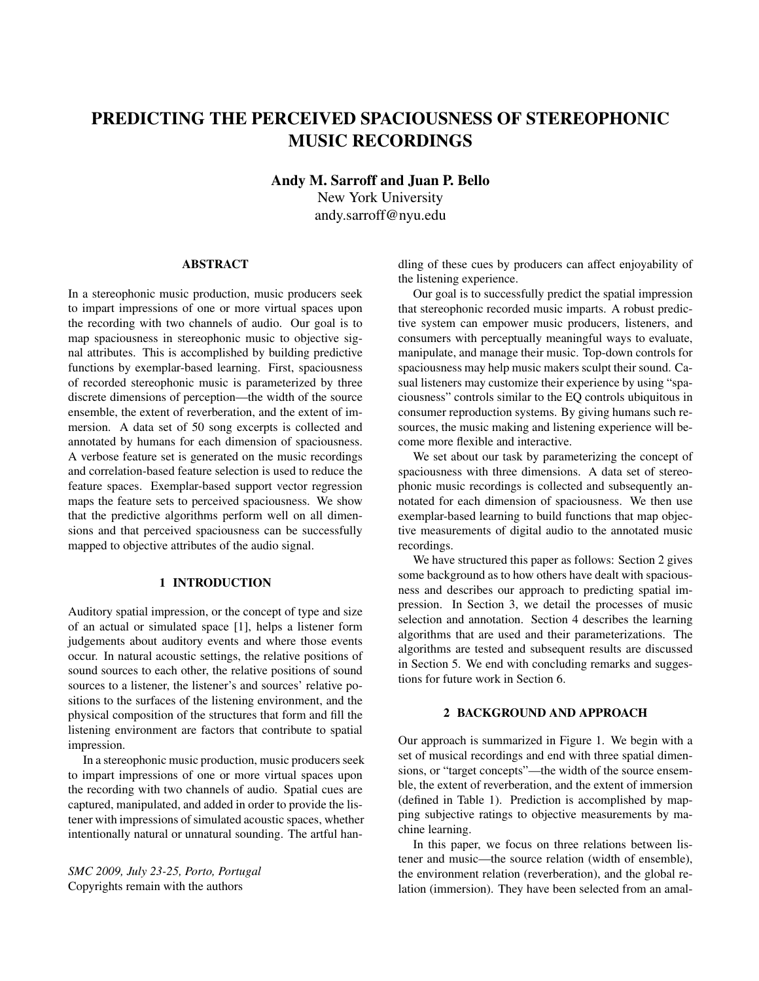# PREDICTING THE PERCEIVED SPACIOUSNESS OF STEREOPHONIC MUSIC RECORDINGS

Andy M. Sarroff and Juan P. Bello

New York University andy.sarroff@nyu.edu

# ABSTRACT

In a stereophonic music production, music producers seek to impart impressions of one or more virtual spaces upon the recording with two channels of audio. Our goal is to map spaciousness in stereophonic music to objective signal attributes. This is accomplished by building predictive functions by exemplar-based learning. First, spaciousness of recorded stereophonic music is parameterized by three discrete dimensions of perception—the width of the source ensemble, the extent of reverberation, and the extent of immersion. A data set of 50 song excerpts is collected and annotated by humans for each dimension of spaciousness. A verbose feature set is generated on the music recordings and correlation-based feature selection is used to reduce the feature spaces. Exemplar-based support vector regression maps the feature sets to perceived spaciousness. We show that the predictive algorithms perform well on all dimensions and that perceived spaciousness can be successfully mapped to objective attributes of the audio signal.

## 1 INTRODUCTION

Auditory spatial impression, or the concept of type and size of an actual or simulated space [1], helps a listener form judgements about auditory events and where those events occur. In natural acoustic settings, the relative positions of sound sources to each other, the relative positions of sound sources to a listener, the listener's and sources' relative positions to the surfaces of the listening environment, and the physical composition of the structures that form and fill the listening environment are factors that contribute to spatial impression.

In a stereophonic music production, music producers seek to impart impressions of one or more virtual spaces upon the recording with two channels of audio. Spatial cues are captured, manipulated, and added in order to provide the listener with impressions of simulated acoustic spaces, whether intentionally natural or unnatural sounding. The artful han-

*SMC 2009, July 23-25, Porto, Portugal* Copyrights remain with the authors

dling of these cues by producers can affect enjoyability of the listening experience.

Our goal is to successfully predict the spatial impression that stereophonic recorded music imparts. A robust predictive system can empower music producers, listeners, and consumers with perceptually meaningful ways to evaluate, manipulate, and manage their music. Top-down controls for spaciousness may help music makers sculpt their sound. Casual listeners may customize their experience by using "spaciousness" controls similar to the EQ controls ubiquitous in consumer reproduction systems. By giving humans such resources, the music making and listening experience will become more flexible and interactive.

We set about our task by parameterizing the concept of spaciousness with three dimensions. A data set of stereophonic music recordings is collected and subsequently annotated for each dimension of spaciousness. We then use exemplar-based learning to build functions that map objective measurements of digital audio to the annotated music recordings.

We have structured this paper as follows: Section 2 gives some background as to how others have dealt with spaciousness and describes our approach to predicting spatial impression. In Section 3, we detail the processes of music selection and annotation. Section 4 describes the learning algorithms that are used and their parameterizations. The algorithms are tested and subsequent results are discussed in Section 5. We end with concluding remarks and suggestions for future work in Section 6.

## 2 BACKGROUND AND APPROACH

Our approach is summarized in Figure 1. We begin with a set of musical recordings and end with three spatial dimensions, or "target concepts"—the width of the source ensemble, the extent of reverberation, and the extent of immersion (defined in Table 1). Prediction is accomplished by mapping subjective ratings to objective measurements by machine learning.

In this paper, we focus on three relations between listener and music—the source relation (width of ensemble), the environment relation (reverberation), and the global relation (immersion). They have been selected from an amal-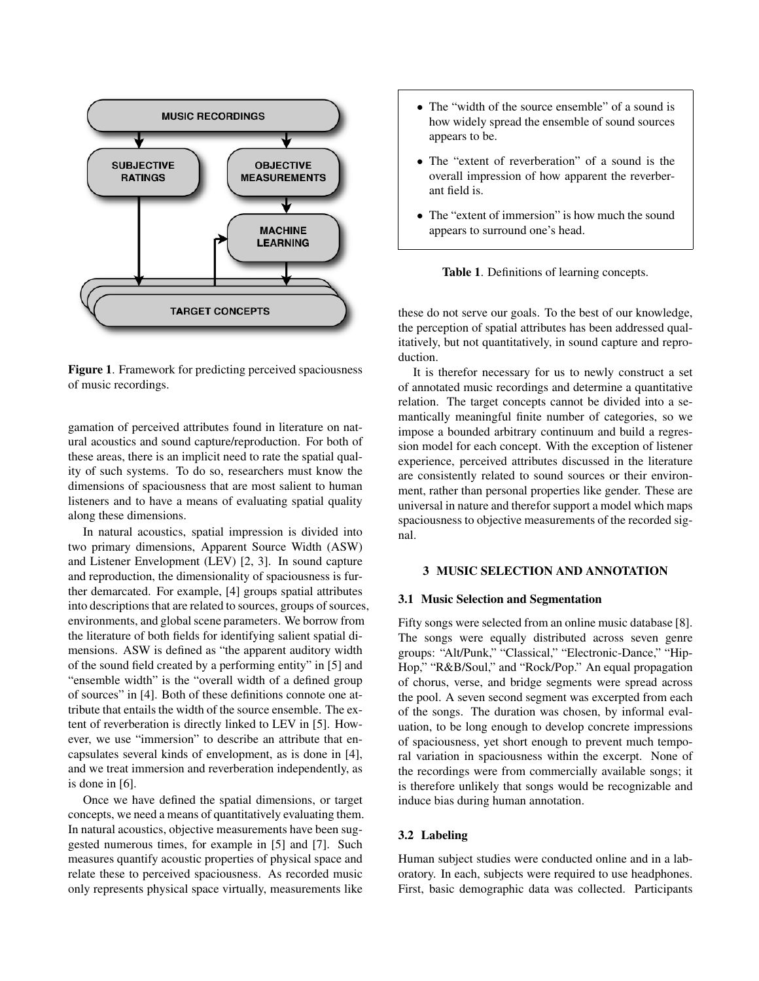

Figure 1. Framework for predicting perceived spaciousness of music recordings.

gamation of perceived attributes found in literature on natural acoustics and sound capture/reproduction. For both of these areas, there is an implicit need to rate the spatial quality of such systems. To do so, researchers must know the dimensions of spaciousness that are most salient to human listeners and to have a means of evaluating spatial quality along these dimensions.

In natural acoustics, spatial impression is divided into two primary dimensions, Apparent Source Width (ASW) and Listener Envelopment (LEV) [2, 3]. In sound capture and reproduction, the dimensionality of spaciousness is further demarcated. For example, [4] groups spatial attributes into descriptions that are related to sources, groups of sources, environments, and global scene parameters. We borrow from the literature of both fields for identifying salient spatial dimensions. ASW is defined as "the apparent auditory width of the sound field created by a performing entity" in [5] and "ensemble width" is the "overall width of a defined group of sources" in [4]. Both of these definitions connote one attribute that entails the width of the source ensemble. The extent of reverberation is directly linked to LEV in [5]. However, we use "immersion" to describe an attribute that encapsulates several kinds of envelopment, as is done in [4], and we treat immersion and reverberation independently, as is done in [6].

Once we have defined the spatial dimensions, or target concepts, we need a means of quantitatively evaluating them. In natural acoustics, objective measurements have been suggested numerous times, for example in [5] and [7]. Such measures quantify acoustic properties of physical space and relate these to perceived spaciousness. As recorded music only represents physical space virtually, measurements like

- The "width of the source ensemble" of a sound is how widely spread the ensemble of sound sources appears to be.
- The "extent of reverberation" of a sound is the overall impression of how apparent the reverberant field is.
- The "extent of immersion" is how much the sound appears to surround one's head.



these do not serve our goals. To the best of our knowledge, the perception of spatial attributes has been addressed qualitatively, but not quantitatively, in sound capture and reproduction.

It is therefor necessary for us to newly construct a set of annotated music recordings and determine a quantitative relation. The target concepts cannot be divided into a semantically meaningful finite number of categories, so we impose a bounded arbitrary continuum and build a regression model for each concept. With the exception of listener experience, perceived attributes discussed in the literature are consistently related to sound sources or their environment, rather than personal properties like gender. These are universal in nature and therefor support a model which maps spaciousness to objective measurements of the recorded signal.

## 3 MUSIC SELECTION AND ANNOTATION

#### 3.1 Music Selection and Segmentation

Fifty songs were selected from an online music database [8]. The songs were equally distributed across seven genre groups: "Alt/Punk," "Classical," "Electronic-Dance," "Hip-Hop," "R&B/Soul," and "Rock/Pop." An equal propagation of chorus, verse, and bridge segments were spread across the pool. A seven second segment was excerpted from each of the songs. The duration was chosen, by informal evaluation, to be long enough to develop concrete impressions of spaciousness, yet short enough to prevent much temporal variation in spaciousness within the excerpt. None of the recordings were from commercially available songs; it is therefore unlikely that songs would be recognizable and induce bias during human annotation.

## 3.2 Labeling

Human subject studies were conducted online and in a laboratory. In each, subjects were required to use headphones. First, basic demographic data was collected. Participants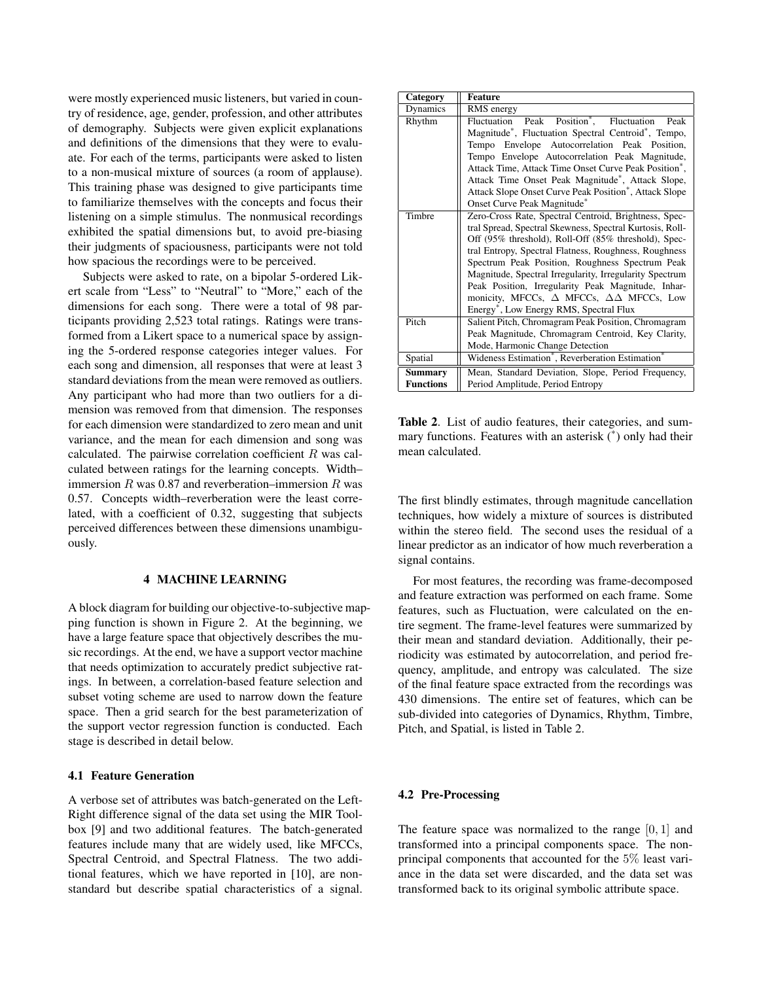were mostly experienced music listeners, but varied in country of residence, age, gender, profession, and other attributes of demography. Subjects were given explicit explanations and definitions of the dimensions that they were to evaluate. For each of the terms, participants were asked to listen to a non-musical mixture of sources (a room of applause). This training phase was designed to give participants time to familiarize themselves with the concepts and focus their listening on a simple stimulus. The nonmusical recordings exhibited the spatial dimensions but, to avoid pre-biasing their judgments of spaciousness, participants were not told how spacious the recordings were to be perceived.

Subjects were asked to rate, on a bipolar 5-ordered Likert scale from "Less" to "Neutral" to "More," each of the dimensions for each song. There were a total of 98 participants providing 2,523 total ratings. Ratings were transformed from a Likert space to a numerical space by assigning the 5-ordered response categories integer values. For each song and dimension, all responses that were at least 3 standard deviations from the mean were removed as outliers. Any participant who had more than two outliers for a dimension was removed from that dimension. The responses for each dimension were standardized to zero mean and unit variance, and the mean for each dimension and song was calculated. The pairwise correlation coefficient  $R$  was calculated between ratings for the learning concepts. Width– immersion  $R$  was 0.87 and reverberation–immersion  $R$  was 0.57. Concepts width–reverberation were the least correlated, with a coefficient of 0.32, suggesting that subjects perceived differences between these dimensions unambiguously.

## 4 MACHINE LEARNING

A block diagram for building our objective-to-subjective mapping function is shown in Figure 2. At the beginning, we have a large feature space that objectively describes the music recordings. At the end, we have a support vector machine that needs optimization to accurately predict subjective ratings. In between, a correlation-based feature selection and subset voting scheme are used to narrow down the feature space. Then a grid search for the best parameterization of the support vector regression function is conducted. Each stage is described in detail below.

# 4.1 Feature Generation

A verbose set of attributes was batch-generated on the Left-Right difference signal of the data set using the MIR Toolbox [9] and two additional features. The batch-generated features include many that are widely used, like MFCCs, Spectral Centroid, and Spectral Flatness. The two additional features, which we have reported in [10], are nonstandard but describe spatial characteristics of a signal.

| Category         | <b>Feature</b>                                                           |  |
|------------------|--------------------------------------------------------------------------|--|
| Dynamics         | RMS energy                                                               |  |
| Rhythm           | Peak Position <sup>*</sup> , Fluctuation<br>Fluctuation<br>Peak          |  |
|                  | Magnitude*, Fluctuation Spectral Centroid*, Tempo,                       |  |
|                  | Tempo Envelope Autocorrelation Peak Position,                            |  |
|                  | Tempo Envelope Autocorrelation Peak Magnitude,                           |  |
|                  | Attack Time, Attack Time Onset Curve Peak Position <sup>®</sup> ,        |  |
|                  | Attack Time Onset Peak Magnitude <sup>*</sup> , Attack Slope,            |  |
|                  | Attack Slope Onset Curve Peak Position*, Attack Slope                    |  |
|                  | Onset Curve Peak Magnitude*                                              |  |
| Timbre           | Zero-Cross Rate, Spectral Centroid, Brightness, Spec-                    |  |
|                  | tral Spread, Spectral Skewness, Spectral Kurtosis, Roll-                 |  |
|                  | Off (95% threshold), Roll-Off (85% threshold), Spec-                     |  |
|                  | tral Entropy, Spectral Flatness, Roughness, Roughness                    |  |
|                  | Spectrum Peak Position, Roughness Spectrum Peak                          |  |
|                  | Magnitude, Spectral Irregularity, Irregularity Spectrum                  |  |
|                  | Peak Position, Irregularity Peak Magnitude, Inhar-                       |  |
|                  | monicity, MFCCs, $\Delta$ MFCCs, $\Delta\Delta$ MFCCs, Low               |  |
|                  | Energy <sup>*</sup> , Low Energy RMS, Spectral Flux                      |  |
| Pitch            | Salient Pitch, Chromagram Peak Position, Chromagram                      |  |
|                  | Peak Magnitude, Chromagram Centroid, Key Clarity,                        |  |
|                  | Mode, Harmonic Change Detection                                          |  |
| Spatial          | Wideness Estimation <sup>*</sup> , Reverberation Estimation <sup>†</sup> |  |
| Summary          | Mean, Standard Deviation, Slope, Period Frequency,                       |  |
| <b>Functions</b> | Period Amplitude, Period Entropy                                         |  |

Table 2. List of audio features, their categories, and summary functions. Features with an asterisk (\* ) only had their mean calculated.

The first blindly estimates, through magnitude cancellation techniques, how widely a mixture of sources is distributed within the stereo field. The second uses the residual of a linear predictor as an indicator of how much reverberation a signal contains.

For most features, the recording was frame-decomposed and feature extraction was performed on each frame. Some features, such as Fluctuation, were calculated on the entire segment. The frame-level features were summarized by their mean and standard deviation. Additionally, their periodicity was estimated by autocorrelation, and period frequency, amplitude, and entropy was calculated. The size of the final feature space extracted from the recordings was 430 dimensions. The entire set of features, which can be sub-divided into categories of Dynamics, Rhythm, Timbre, Pitch, and Spatial, is listed in Table 2.

## 4.2 Pre-Processing

The feature space was normalized to the range  $[0, 1]$  and transformed into a principal components space. The nonprincipal components that accounted for the 5% least variance in the data set were discarded, and the data set was transformed back to its original symbolic attribute space.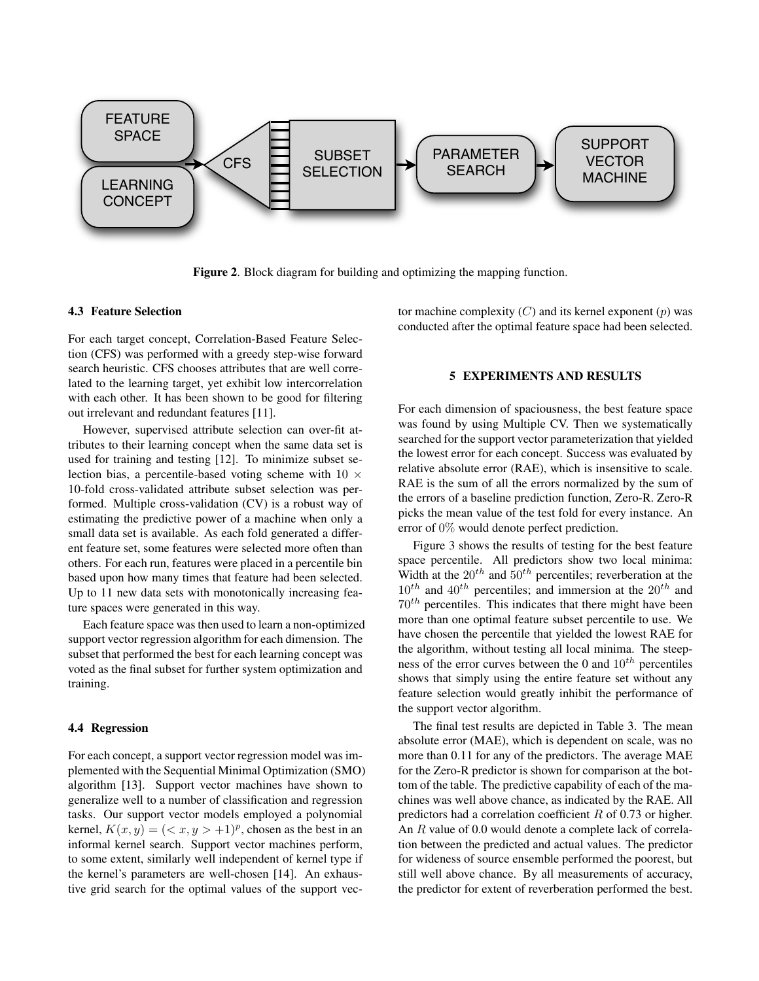

Figure 2. Block diagram for building and optimizing the mapping function.

#### 4.3 Feature Selection

For each target concept, Correlation-Based Feature Selection (CFS) was performed with a greedy step-wise forward search heuristic. CFS chooses attributes that are well correlated to the learning target, yet exhibit low intercorrelation with each other. It has been shown to be good for filtering out irrelevant and redundant features [11].

However, supervised attribute selection can over-fit attributes to their learning concept when the same data set is used for training and testing [12]. To minimize subset selection bias, a percentile-based voting scheme with  $10 \times$ 10-fold cross-validated attribute subset selection was performed. Multiple cross-validation (CV) is a robust way of estimating the predictive power of a machine when only a small data set is available. As each fold generated a different feature set, some features were selected more often than others. For each run, features were placed in a percentile bin based upon how many times that feature had been selected. Up to 11 new data sets with monotonically increasing feature spaces were generated in this way.

Each feature space was then used to learn a non-optimized support vector regression algorithm for each dimension. The subset that performed the best for each learning concept was voted as the final subset for further system optimization and training.

## 4.4 Regression

For each concept, a support vector regression model was implemented with the Sequential Minimal Optimization (SMO) algorithm [13]. Support vector machines have shown to generalize well to a number of classification and regression tasks. Our support vector models employed a polynomial kernel,  $K(x, y) = (x, y > +1)^p$ , chosen as the best in an informal kernel search. Support vector machines perform, to some extent, similarly well independent of kernel type if the kernel's parameters are well-chosen [14]. An exhaustive grid search for the optimal values of the support vector machine complexity  $(C)$  and its kernel exponent  $(p)$  was conducted after the optimal feature space had been selected.

#### 5 EXPERIMENTS AND RESULTS

For each dimension of spaciousness, the best feature space was found by using Multiple CV. Then we systematically searched for the support vector parameterization that yielded the lowest error for each concept. Success was evaluated by relative absolute error (RAE), which is insensitive to scale. RAE is the sum of all the errors normalized by the sum of the errors of a baseline prediction function, Zero-R. Zero-R picks the mean value of the test fold for every instance. An error of 0% would denote perfect prediction.

Figure 3 shows the results of testing for the best feature space percentile. All predictors show two local minima: Width at the  $20^{th}$  and  $50^{th}$  percentiles; reverberation at the  $10^{th}$  and  $40^{th}$  percentiles; and immersion at the  $20^{th}$  and  $70<sup>th</sup>$  percentiles. This indicates that there might have been more than one optimal feature subset percentile to use. We have chosen the percentile that yielded the lowest RAE for the algorithm, without testing all local minima. The steepness of the error curves between the 0 and  $10^{th}$  percentiles shows that simply using the entire feature set without any feature selection would greatly inhibit the performance of the support vector algorithm.

The final test results are depicted in Table 3. The mean absolute error (MAE), which is dependent on scale, was no more than 0.11 for any of the predictors. The average MAE for the Zero-R predictor is shown for comparison at the bottom of the table. The predictive capability of each of the machines was well above chance, as indicated by the RAE. All predictors had a correlation coefficient  $R$  of 0.73 or higher. An R value of 0.0 would denote a complete lack of correlation between the predicted and actual values. The predictor for wideness of source ensemble performed the poorest, but still well above chance. By all measurements of accuracy, the predictor for extent of reverberation performed the best.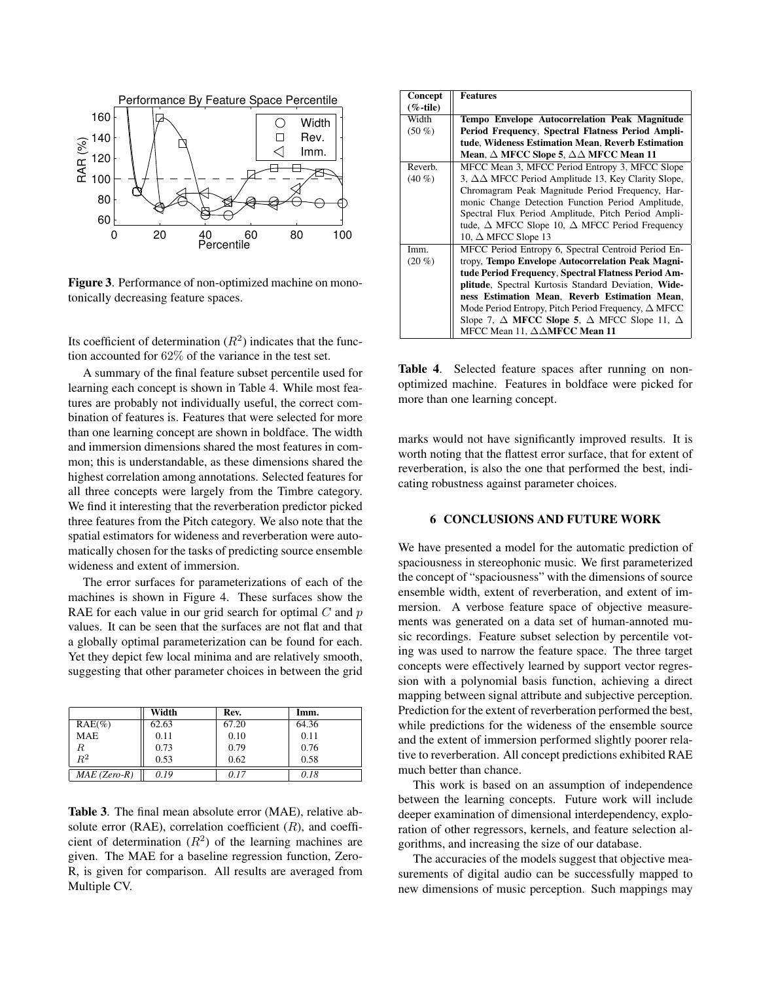

Figure 3. Performance of non-optimized machine on monotonically decreasing feature spaces.

Its coefficient of determination  $(R^2)$  indicates that the function accounted for 62% of the variance in the test set.

A summary of the final feature subset percentile used for learning each concept is shown in Table 4. While most features are probably not individually useful, the correct combination of features is. Features that were selected for more than one learning concept are shown in boldface. The width and immersion dimensions shared the most features in common; this is understandable, as these dimensions shared the highest correlation among annotations. Selected features for all three concepts were largely from the Timbre category. We find it interesting that the reverberation predictor picked three features from the Pitch category. We also note that the spatial estimators for wideness and reverberation were automatically chosen for the tasks of predicting source ensemble wideness and extent of immersion.

The error surfaces for parameterizations of each of the machines is shown in Figure 4. These surfaces show the RAE for each value in our grid search for optimal  $C$  and  $p$ values. It can be seen that the surfaces are not flat and that a globally optimal parameterization can be found for each. Yet they depict few local minima and are relatively smooth, suggesting that other parameter choices in between the grid

|                | Width | Rev.  | Imm.  |
|----------------|-------|-------|-------|
| $RAE(\%)$      | 62.63 | 67.20 | 64.36 |
| MAE            | 0.11  | 0.10  | 0.11  |
| R              | 0.73  | 0.79  | 0.76  |
| $R^2$          | 0.53  | 0.62  | 0.58  |
| $MAE$ (Zero-R) | 0.19  | 0.17  | 0.18  |

Table 3. The final mean absolute error (MAE), relative absolute error (RAE), correlation coefficient  $(R)$ , and coefficient of determination  $(R<sup>2</sup>)$  of the learning machines are given. The MAE for a baseline regression function, Zero-R, is given for comparison. All results are averaged from Multiple CV.

| Concept      | <b>Features</b>                                                  |
|--------------|------------------------------------------------------------------|
| $(\%$ -tile) |                                                                  |
| Width        | Tempo Envelope Autocorrelation Peak Magnitude                    |
| $(50\%)$     | Period Frequency, Spectral Flatness Period Ampli-                |
|              | tude, Wideness Estimation Mean, Reverb Estimation                |
|              | Mean, $\Delta$ MFCC Slope 5, $\Delta\Delta$ MFCC Mean 11         |
| Reverb.      | MFCC Mean 3, MFCC Period Entropy 3, MFCC Slope                   |
| $(40\%)$     | 3, $\Delta\Delta$ MFCC Period Amplitude 13, Key Clarity Slope,   |
|              | Chromagram Peak Magnitude Period Frequency, Har-                 |
|              | monic Change Detection Function Period Amplitude,                |
|              | Spectral Flux Period Amplitude, Pitch Period Ampli-              |
|              | tude, $\Delta$ MFCC Slope 10, $\Delta$ MFCC Period Frequency     |
|              | 10, $\Delta$ MFCC Slope 13                                       |
| Imm.         | MFCC Period Entropy 6, Spectral Centroid Period En-              |
| $(20\%)$     | tropy, Tempo Envelope Autocorrelation Peak Magni-                |
|              | tude Period Frequency, Spectral Flatness Period Am-              |
|              | plitude, Spectral Kurtosis Standard Deviation, Wide-             |
|              | ness Estimation Mean, Reverb Estimation Mean,                    |
|              | Mode Period Entropy, Pitch Period Frequency, $\Delta$ MFCC       |
|              | Slope 7, $\Delta$ MFCC Slope 5, $\Delta$ MFCC Slope 11, $\Delta$ |
|              | MFCC Mean 11, $\Delta\Delta$ MFCC Mean 11                        |

Table 4. Selected feature spaces after running on nonoptimized machine. Features in boldface were picked for more than one learning concept.

marks would not have significantly improved results. It is worth noting that the flattest error surface, that for extent of reverberation, is also the one that performed the best, indicating robustness against parameter choices.

## 6 CONCLUSIONS AND FUTURE WORK

We have presented a model for the automatic prediction of spaciousness in stereophonic music. We first parameterized the concept of "spaciousness" with the dimensions of source ensemble width, extent of reverberation, and extent of immersion. A verbose feature space of objective measurements was generated on a data set of human-annoted music recordings. Feature subset selection by percentile voting was used to narrow the feature space. The three target concepts were effectively learned by support vector regression with a polynomial basis function, achieving a direct mapping between signal attribute and subjective perception. Prediction for the extent of reverberation performed the best, while predictions for the wideness of the ensemble source and the extent of immersion performed slightly poorer relative to reverberation. All concept predictions exhibited RAE much better than chance.

This work is based on an assumption of independence between the learning concepts. Future work will include deeper examination of dimensional interdependency, exploration of other regressors, kernels, and feature selection algorithms, and increasing the size of our database.

The accuracies of the models suggest that objective measurements of digital audio can be successfully mapped to new dimensions of music perception. Such mappings may